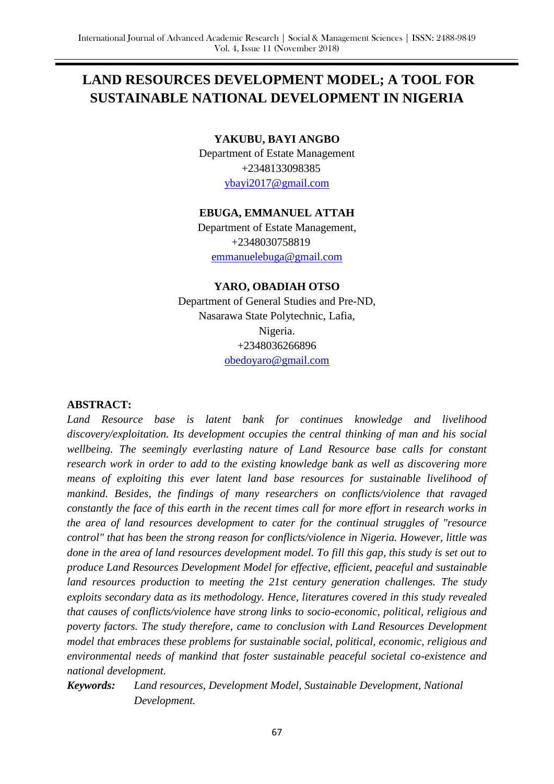# **LAND RESOURCES DEVELOPMENT MODEL; A TOOL FOR SUSTAINABLE NATIONAL DEVELOPMENT IN NIGERIA**

#### **YAKUBU, BAYI ANGBO**

Department of Estate Management +2348133098385 [ybayi2017@gmail.com](mailto:ybayi2017@gmail.com)

#### **EBUGA, EMMANUEL ATTAH**

Department of Estate Management, +2348030758819 [emmanuelebuga@gmail.com](mailto:emmanuelebuga@gmail.com)

#### **YARO, OBADIAH OTSO**

Department of General Studies and Pre-ND, Nasarawa State Polytechnic, Lafia, Nigeria. +2348036266896 [obedoyaro@gmail.com](mailto:obedoyaro@gmail.com)

#### **ABSTRACT:**

*Land Resource base is latent bank for continues knowledge and livelihood discovery/exploitation. Its development occupies the central thinking of man and his social wellbeing. The seemingly everlasting nature of Land Resource base calls for constant research work in order to add to the existing knowledge bank as well as discovering more means of exploiting this ever latent land base resources for sustainable livelihood of mankind. Besides, the findings of many researchers on conflicts/violence that ravaged constantly the face of this earth in the recent times call for more effort in research works in the area of land resources development to cater for the continual struggles of "resource control" that has been the strong reason for conflicts/violence in Nigeria. However, little was done in the area of land resources development model. To fill this gap, this study is set out to produce Land Resources Development Model for effective, efficient, peaceful and sustainable land resources production to meeting the 21st century generation challenges. The study exploits secondary data as its methodology. Hence, literatures covered in this study revealed that causes of conflicts/violence have strong links to socio-economic, political, religious and poverty factors. The study therefore, came to conclusion with Land Resources Development model that embraces these problems for sustainable social, political, economic, religious and environmental needs of mankind that foster sustainable peaceful societal co-existence and national development.*

*Keywords: Land resources, Development Model, Sustainable Development, National Development.*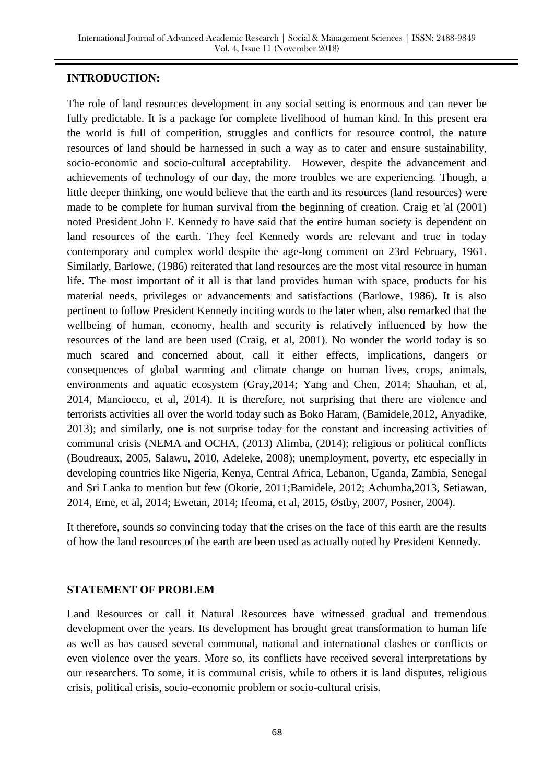#### **INTRODUCTION:**

The role of land resources development in any social setting is enormous and can never be fully predictable. It is a package for complete livelihood of human kind. In this present era the world is full of competition, struggles and conflicts for resource control, the nature resources of land should be harnessed in such a way as to cater and ensure sustainability, socio-economic and socio-cultural acceptability. However, despite the advancement and achievements of technology of our day, the more troubles we are experiencing. Though, a little deeper thinking, one would believe that the earth and its resources (land resources) were made to be complete for human survival from the beginning of creation. Craig et 'al (2001) noted President John F. Kennedy to have said that the entire human society is dependent on land resources of the earth. They feel Kennedy words are relevant and true in today contemporary and complex world despite the age-long comment on 23rd February, 1961. Similarly, Barlowe, (1986) reiterated that land resources are the most vital resource in human life. The most important of it all is that land provides human with space, products for his material needs, privileges or advancements and satisfactions (Barlowe, 1986). It is also pertinent to follow President Kennedy inciting words to the later when, also remarked that the wellbeing of human, economy, health and security is relatively influenced by how the resources of the land are been used (Craig, et al, 2001). No wonder the world today is so much scared and concerned about, call it either effects, implications, dangers or consequences of global warming and climate change on human lives, crops, animals, environments and aquatic ecosystem (Gray,2014; Yang and Chen, 2014; Shauhan, et al, 2014, Manciocco, et al, 2014). It is therefore, not surprising that there are violence and terrorists activities all over the world today such as Boko Haram, (Bamidele,2012, Anyadike, 2013); and similarly, one is not surprise today for the constant and increasing activities of communal crisis (NEMA and OCHA, (2013) Alimba, (2014); religious or political conflicts (Boudreaux, 2005, Salawu, 2010, Adeleke, 2008); unemployment, poverty, etc especially in developing countries like Nigeria, Kenya, Central Africa, Lebanon, Uganda, Zambia, Senegal and Sri Lanka to mention but few (Okorie, 2011;Bamidele, 2012; Achumba,2013, Setiawan, 2014, Eme, et al, 2014; Ewetan, 2014; Ifeoma, et al, 2015, Østby, 2007, Posner, 2004).

It therefore, sounds so convincing today that the crises on the face of this earth are the results of how the land resources of the earth are been used as actually noted by President Kennedy.

#### **STATEMENT OF PROBLEM**

Land Resources or call it Natural Resources have witnessed gradual and tremendous development over the years. Its development has brought great transformation to human life as well as has caused several communal, national and international clashes or conflicts or even violence over the years. More so, its conflicts have received several interpretations by our researchers. To some, it is communal crisis, while to others it is land disputes, religious crisis, political crisis, socio-economic problem or socio-cultural crisis.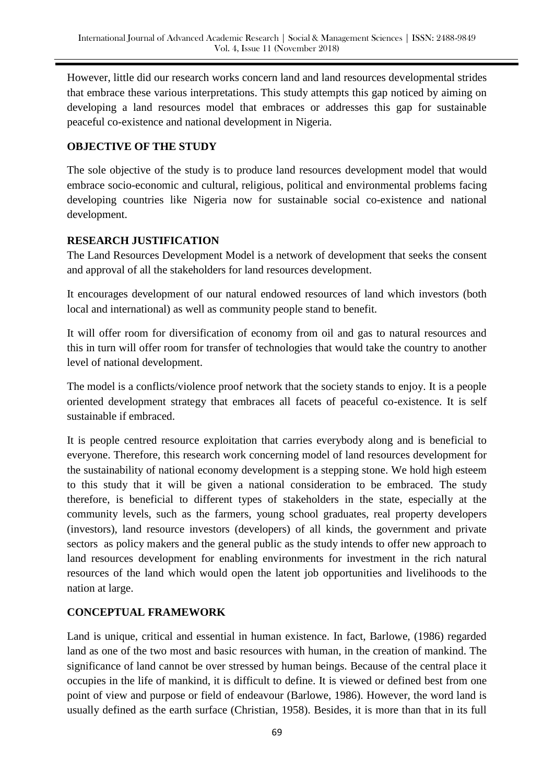However, little did our research works concern land and land resources developmental strides that embrace these various interpretations. This study attempts this gap noticed by aiming on developing a land resources model that embraces or addresses this gap for sustainable peaceful co-existence and national development in Nigeria.

#### **OBJECTIVE OF THE STUDY**

The sole objective of the study is to produce land resources development model that would embrace socio-economic and cultural, religious, political and environmental problems facing developing countries like Nigeria now for sustainable social co-existence and national development.

#### **RESEARCH JUSTIFICATION**

The Land Resources Development Model is a network of development that seeks the consent and approval of all the stakeholders for land resources development.

It encourages development of our natural endowed resources of land which investors (both local and international) as well as community people stand to benefit.

It will offer room for diversification of economy from oil and gas to natural resources and this in turn will offer room for transfer of technologies that would take the country to another level of national development.

The model is a conflicts/violence proof network that the society stands to enjoy. It is a people oriented development strategy that embraces all facets of peaceful co-existence. It is self sustainable if embraced.

It is people centred resource exploitation that carries everybody along and is beneficial to everyone. Therefore, this research work concerning model of land resources development for the sustainability of national economy development is a stepping stone. We hold high esteem to this study that it will be given a national consideration to be embraced. The study therefore, is beneficial to different types of stakeholders in the state, especially at the community levels, such as the farmers, young school graduates, real property developers (investors), land resource investors (developers) of all kinds, the government and private sectors as policy makers and the general public as the study intends to offer new approach to land resources development for enabling environments for investment in the rich natural resources of the land which would open the latent job opportunities and livelihoods to the nation at large.

# **CONCEPTUAL FRAMEWORK**

Land is unique, critical and essential in human existence. In fact, Barlowe, (1986) regarded land as one of the two most and basic resources with human, in the creation of mankind. The significance of land cannot be over stressed by human beings. Because of the central place it occupies in the life of mankind, it is difficult to define. It is viewed or defined best from one point of view and purpose or field of endeavour (Barlowe, 1986). However, the word land is usually defined as the earth surface (Christian, 1958). Besides, it is more than that in its full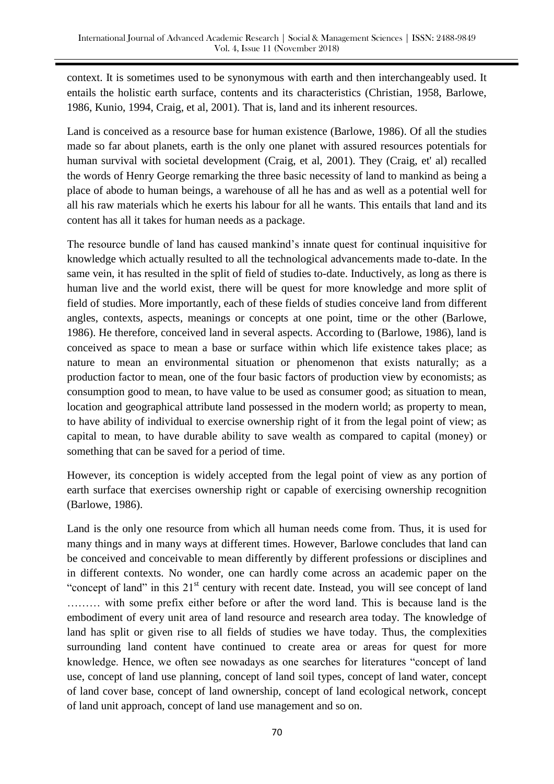context. It is sometimes used to be synonymous with earth and then interchangeably used. It entails the holistic earth surface, contents and its characteristics (Christian, 1958, Barlowe, 1986, Kunio, 1994, Craig, et al, 2001). That is, land and its inherent resources.

Land is conceived as a resource base for human existence (Barlowe, 1986). Of all the studies made so far about planets, earth is the only one planet with assured resources potentials for human survival with societal development (Craig, et al, 2001). They (Craig, et' al) recalled the words of Henry George remarking the three basic necessity of land to mankind as being a place of abode to human beings, a warehouse of all he has and as well as a potential well for all his raw materials which he exerts his labour for all he wants. This entails that land and its content has all it takes for human needs as a package.

The resource bundle of land has caused mankind's innate quest for continual inquisitive for knowledge which actually resulted to all the technological advancements made to-date. In the same vein, it has resulted in the split of field of studies to-date. Inductively, as long as there is human live and the world exist, there will be quest for more knowledge and more split of field of studies. More importantly, each of these fields of studies conceive land from different angles, contexts, aspects, meanings or concepts at one point, time or the other (Barlowe, 1986). He therefore, conceived land in several aspects. According to (Barlowe, 1986), land is conceived as space to mean a base or surface within which life existence takes place; as nature to mean an environmental situation or phenomenon that exists naturally; as a production factor to mean, one of the four basic factors of production view by economists; as consumption good to mean, to have value to be used as consumer good; as situation to mean, location and geographical attribute land possessed in the modern world; as property to mean, to have ability of individual to exercise ownership right of it from the legal point of view; as capital to mean, to have durable ability to save wealth as compared to capital (money) or something that can be saved for a period of time.

However, its conception is widely accepted from the legal point of view as any portion of earth surface that exercises ownership right or capable of exercising ownership recognition (Barlowe, 1986).

Land is the only one resource from which all human needs come from. Thus, it is used for many things and in many ways at different times. However, Barlowe concludes that land can be conceived and conceivable to mean differently by different professions or disciplines and in different contexts. No wonder, one can hardly come across an academic paper on the "concept of land" in this  $21<sup>st</sup>$  century with recent date. Instead, you will see concept of land ……… with some prefix either before or after the word land. This is because land is the embodiment of every unit area of land resource and research area today. The knowledge of land has split or given rise to all fields of studies we have today. Thus, the complexities surrounding land content have continued to create area or areas for quest for more knowledge. Hence, we often see nowadays as one searches for literatures "concept of land use, concept of land use planning, concept of land soil types, concept of land water, concept of land cover base, concept of land ownership, concept of land ecological network, concept of land unit approach, concept of land use management and so on.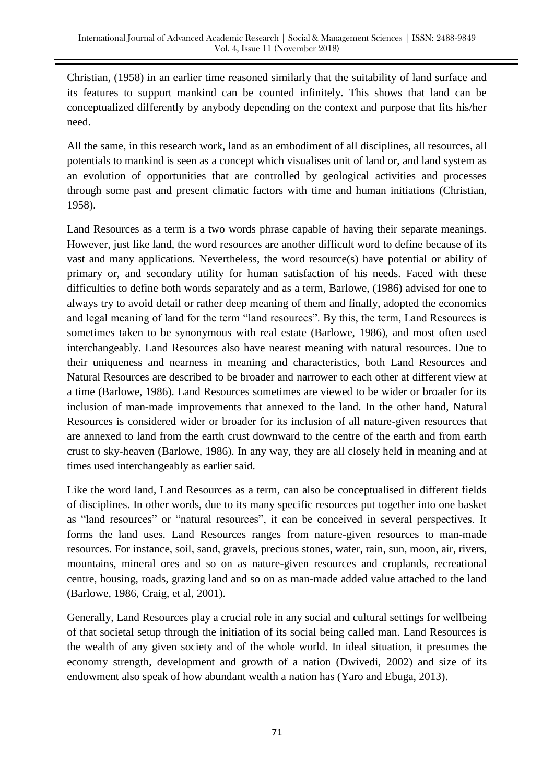Christian, (1958) in an earlier time reasoned similarly that the suitability of land surface and its features to support mankind can be counted infinitely. This shows that land can be conceptualized differently by anybody depending on the context and purpose that fits his/her need.

All the same, in this research work, land as an embodiment of all disciplines, all resources, all potentials to mankind is seen as a concept which visualises unit of land or, and land system as an evolution of opportunities that are controlled by geological activities and processes through some past and present climatic factors with time and human initiations (Christian, 1958).

Land Resources as a term is a two words phrase capable of having their separate meanings. However, just like land, the word resources are another difficult word to define because of its vast and many applications. Nevertheless, the word resource(s) have potential or ability of primary or, and secondary utility for human satisfaction of his needs. Faced with these difficulties to define both words separately and as a term, Barlowe, (1986) advised for one to always try to avoid detail or rather deep meaning of them and finally, adopted the economics and legal meaning of land for the term "land resources". By this, the term, Land Resources is sometimes taken to be synonymous with real estate (Barlowe, 1986), and most often used interchangeably. Land Resources also have nearest meaning with natural resources. Due to their uniqueness and nearness in meaning and characteristics, both Land Resources and Natural Resources are described to be broader and narrower to each other at different view at a time (Barlowe, 1986). Land Resources sometimes are viewed to be wider or broader for its inclusion of man-made improvements that annexed to the land. In the other hand, Natural Resources is considered wider or broader for its inclusion of all nature-given resources that are annexed to land from the earth crust downward to the centre of the earth and from earth crust to sky-heaven (Barlowe, 1986). In any way, they are all closely held in meaning and at times used interchangeably as earlier said.

Like the word land, Land Resources as a term, can also be conceptualised in different fields of disciplines. In other words, due to its many specific resources put together into one basket as "land resources" or "natural resources", it can be conceived in several perspectives. It forms the land uses. Land Resources ranges from nature-given resources to man-made resources. For instance, soil, sand, gravels, precious stones, water, rain, sun, moon, air, rivers, mountains, mineral ores and so on as nature-given resources and croplands, recreational centre, housing, roads, grazing land and so on as man-made added value attached to the land (Barlowe, 1986, Craig, et al, 2001).

Generally, Land Resources play a crucial role in any social and cultural settings for wellbeing of that societal setup through the initiation of its social being called man. Land Resources is the wealth of any given society and of the whole world. In ideal situation, it presumes the economy strength, development and growth of a nation (Dwivedi, 2002) and size of its endowment also speak of how abundant wealth a nation has (Yaro and Ebuga, 2013).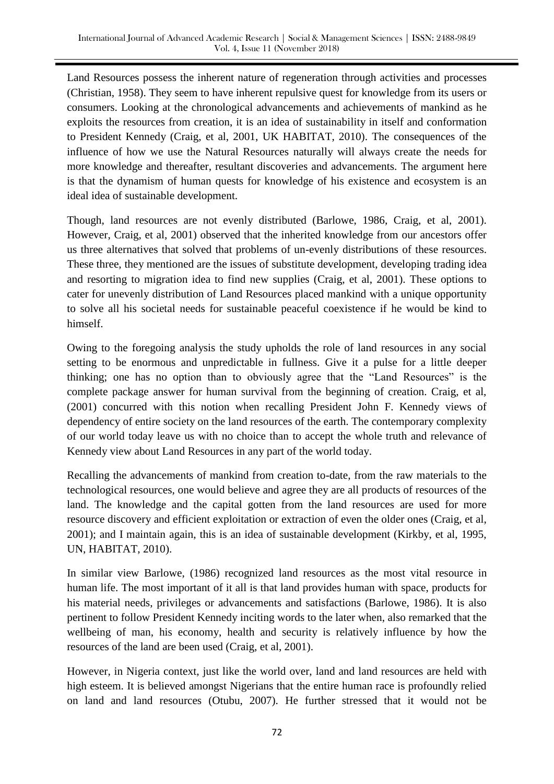Land Resources possess the inherent nature of regeneration through activities and processes (Christian, 1958). They seem to have inherent repulsive quest for knowledge from its users or consumers. Looking at the chronological advancements and achievements of mankind as he exploits the resources from creation, it is an idea of sustainability in itself and conformation to President Kennedy (Craig, et al, 2001, UK HABITAT, 2010). The consequences of the influence of how we use the Natural Resources naturally will always create the needs for more knowledge and thereafter, resultant discoveries and advancements. The argument here is that the dynamism of human quests for knowledge of his existence and ecosystem is an ideal idea of sustainable development.

Though, land resources are not evenly distributed (Barlowe, 1986, Craig, et al, 2001). However, Craig, et al, 2001) observed that the inherited knowledge from our ancestors offer us three alternatives that solved that problems of un-evenly distributions of these resources. These three, they mentioned are the issues of substitute development, developing trading idea and resorting to migration idea to find new supplies (Craig, et al, 2001). These options to cater for unevenly distribution of Land Resources placed mankind with a unique opportunity to solve all his societal needs for sustainable peaceful coexistence if he would be kind to himself.

Owing to the foregoing analysis the study upholds the role of land resources in any social setting to be enormous and unpredictable in fullness. Give it a pulse for a little deeper thinking; one has no option than to obviously agree that the "Land Resources" is the complete package answer for human survival from the beginning of creation. Craig, et al, (2001) concurred with this notion when recalling President John F. Kennedy views of dependency of entire society on the land resources of the earth. The contemporary complexity of our world today leave us with no choice than to accept the whole truth and relevance of Kennedy view about Land Resources in any part of the world today.

Recalling the advancements of mankind from creation to-date, from the raw materials to the technological resources, one would believe and agree they are all products of resources of the land. The knowledge and the capital gotten from the land resources are used for more resource discovery and efficient exploitation or extraction of even the older ones (Craig, et al, 2001); and I maintain again, this is an idea of sustainable development (Kirkby, et al, 1995, UN, HABITAT, 2010).

In similar view Barlowe, (1986) recognized land resources as the most vital resource in human life. The most important of it all is that land provides human with space, products for his material needs, privileges or advancements and satisfactions (Barlowe, 1986). It is also pertinent to follow President Kennedy inciting words to the later when, also remarked that the wellbeing of man, his economy, health and security is relatively influence by how the resources of the land are been used (Craig, et al, 2001).

However, in Nigeria context, just like the world over, land and land resources are held with high esteem. It is believed amongst Nigerians that the entire human race is profoundly relied on land and land resources (Otubu, 2007). He further stressed that it would not be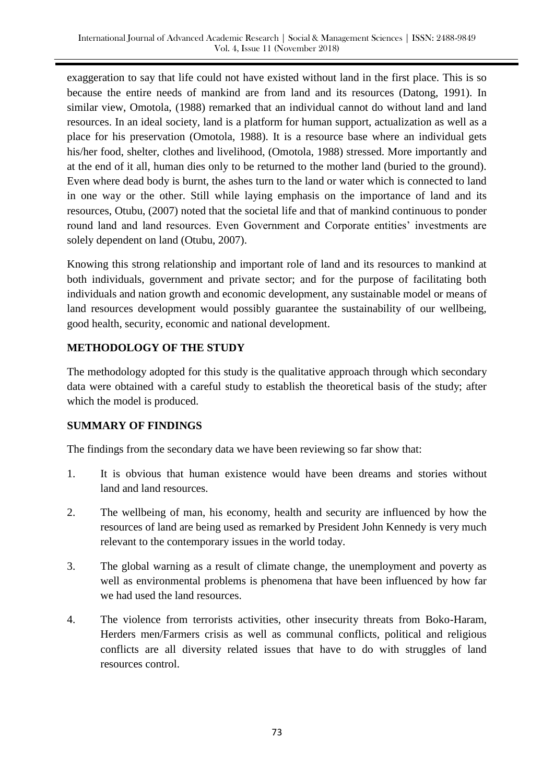exaggeration to say that life could not have existed without land in the first place. This is so because the entire needs of mankind are from land and its resources (Datong, 1991). In similar view, Omotola, (1988) remarked that an individual cannot do without land and land resources. In an ideal society, land is a platform for human support, actualization as well as a place for his preservation (Omotola, 1988). It is a resource base where an individual gets his/her food, shelter, clothes and livelihood, (Omotola, 1988) stressed. More importantly and at the end of it all, human dies only to be returned to the mother land (buried to the ground). Even where dead body is burnt, the ashes turn to the land or water which is connected to land in one way or the other. Still while laying emphasis on the importance of land and its resources, Otubu, (2007) noted that the societal life and that of mankind continuous to ponder round land and land resources. Even Government and Corporate entities' investments are solely dependent on land (Otubu, 2007).

Knowing this strong relationship and important role of land and its resources to mankind at both individuals, government and private sector; and for the purpose of facilitating both individuals and nation growth and economic development, any sustainable model or means of land resources development would possibly guarantee the sustainability of our wellbeing, good health, security, economic and national development.

#### **METHODOLOGY OF THE STUDY**

The methodology adopted for this study is the qualitative approach through which secondary data were obtained with a careful study to establish the theoretical basis of the study; after which the model is produced.

# **SUMMARY OF FINDINGS**

The findings from the secondary data we have been reviewing so far show that:

- 1. It is obvious that human existence would have been dreams and stories without land and land resources.
- 2. The wellbeing of man, his economy, health and security are influenced by how the resources of land are being used as remarked by President John Kennedy is very much relevant to the contemporary issues in the world today.
- 3. The global warning as a result of climate change, the unemployment and poverty as well as environmental problems is phenomena that have been influenced by how far we had used the land resources.
- 4. The violence from terrorists activities, other insecurity threats from Boko-Haram, Herders men/Farmers crisis as well as communal conflicts, political and religious conflicts are all diversity related issues that have to do with struggles of land resources control.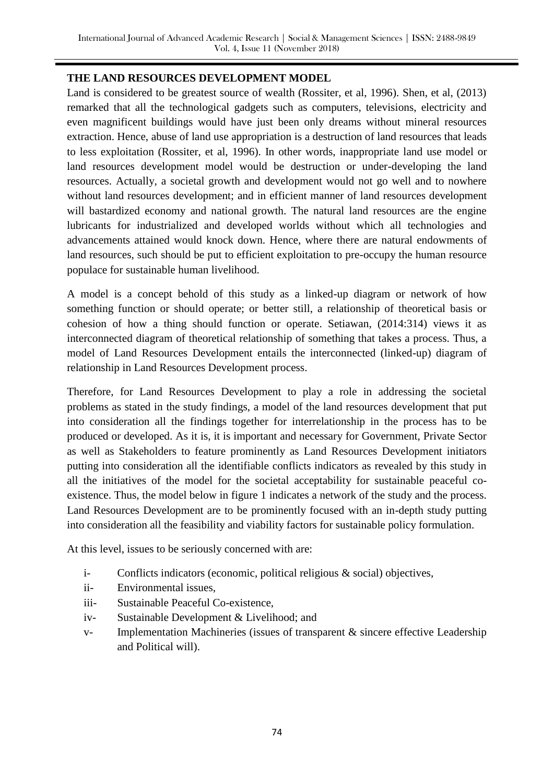#### **THE LAND RESOURCES DEVELOPMENT MODEL**

Land is considered to be greatest source of wealth (Rossiter, et al, 1996). Shen, et al, (2013) remarked that all the technological gadgets such as computers, televisions, electricity and even magnificent buildings would have just been only dreams without mineral resources extraction. Hence, abuse of land use appropriation is a destruction of land resources that leads to less exploitation (Rossiter, et al, 1996). In other words, inappropriate land use model or land resources development model would be destruction or under-developing the land resources. Actually, a societal growth and development would not go well and to nowhere without land resources development; and in efficient manner of land resources development will bastardized economy and national growth. The natural land resources are the engine lubricants for industrialized and developed worlds without which all technologies and advancements attained would knock down. Hence, where there are natural endowments of land resources, such should be put to efficient exploitation to pre-occupy the human resource populace for sustainable human livelihood.

A model is a concept behold of this study as a linked-up diagram or network of how something function or should operate; or better still, a relationship of theoretical basis or cohesion of how a thing should function or operate. Setiawan, (2014:314) views it as interconnected diagram of theoretical relationship of something that takes a process. Thus, a model of Land Resources Development entails the interconnected (linked-up) diagram of relationship in Land Resources Development process.

Therefore, for Land Resources Development to play a role in addressing the societal problems as stated in the study findings, a model of the land resources development that put into consideration all the findings together for interrelationship in the process has to be produced or developed. As it is, it is important and necessary for Government, Private Sector as well as Stakeholders to feature prominently as Land Resources Development initiators putting into consideration all the identifiable conflicts indicators as revealed by this study in all the initiatives of the model for the societal acceptability for sustainable peaceful coexistence. Thus, the model below in figure 1 indicates a network of the study and the process. Land Resources Development are to be prominently focused with an in-depth study putting into consideration all the feasibility and viability factors for sustainable policy formulation.

At this level, issues to be seriously concerned with are:

- i- Conflicts indicators (economic, political religious & social) objectives,
- ii- Environmental issues,
- iii- Sustainable Peaceful Co-existence,
- iv- Sustainable Development & Livelihood; and
- v- Implementation Machineries (issues of transparent & sincere effective Leadership and Political will).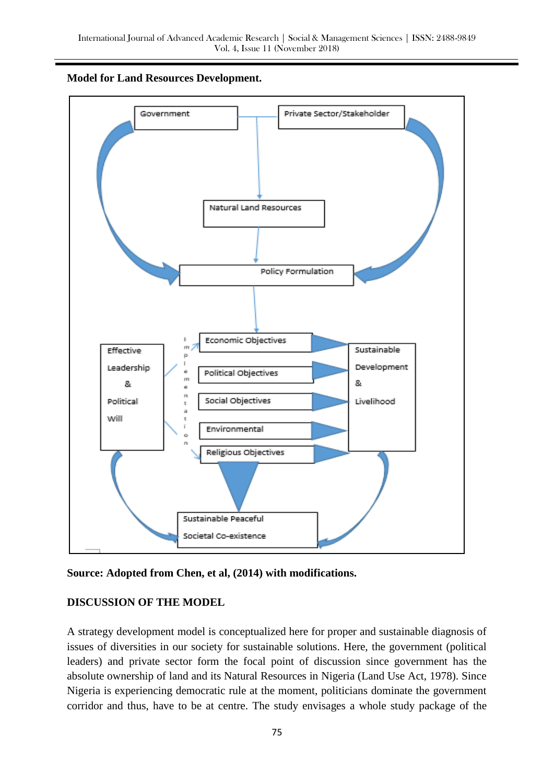



**Source: Adopted from Chen, et al, (2014) with modifications.** 

# **DISCUSSION OF THE MODEL**

A strategy development model is conceptualized here for proper and sustainable diagnosis of issues of diversities in our society for sustainable solutions. Here, the government (political leaders) and private sector form the focal point of discussion since government has the absolute ownership of land and its Natural Resources in Nigeria (Land Use Act, 1978). Since Nigeria is experiencing democratic rule at the moment, politicians dominate the government corridor and thus, have to be at centre. The study envisages a whole study package of the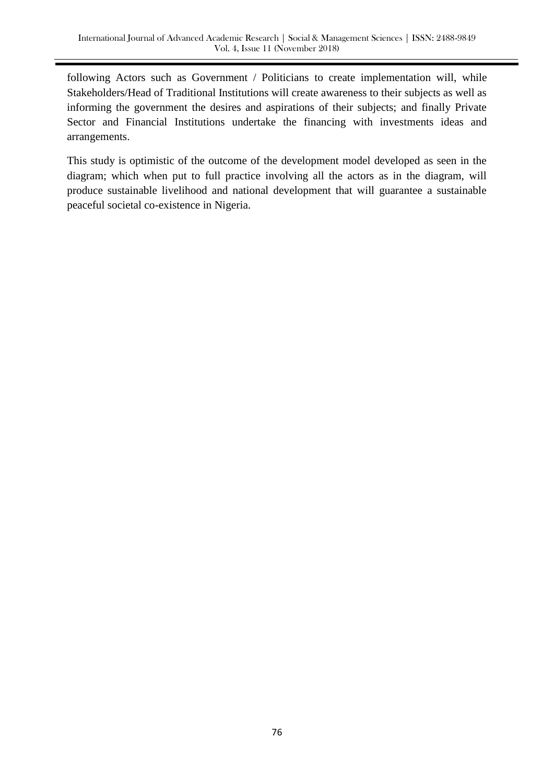following Actors such as Government / Politicians to create implementation will, while Stakeholders/Head of Traditional Institutions will create awareness to their subjects as well as informing the government the desires and aspirations of their subjects; and finally Private Sector and Financial Institutions undertake the financing with investments ideas and arrangements.

This study is optimistic of the outcome of the development model developed as seen in the diagram; which when put to full practice involving all the actors as in the diagram, will produce sustainable livelihood and national development that will guarantee a sustainable peaceful societal co-existence in Nigeria.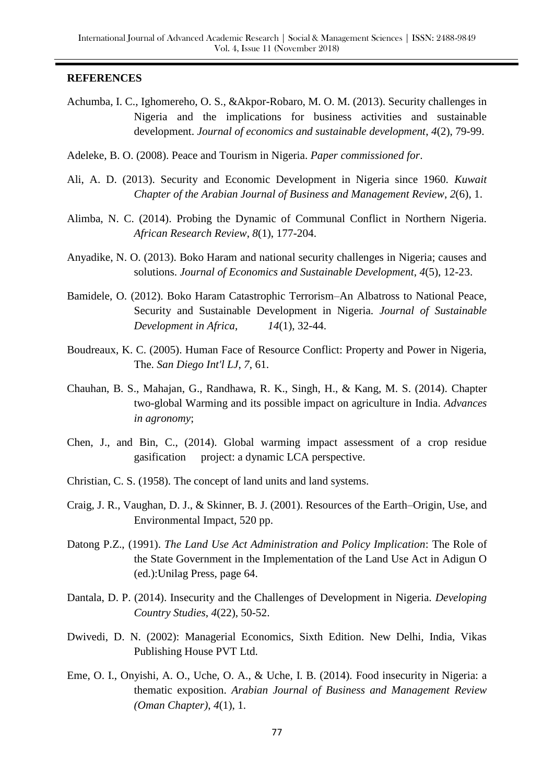#### **REFERENCES**

- Achumba, I. C., Ighomereho, O. S., &Akpor-Robaro, M. O. M. (2013). Security challenges in Nigeria and the implications for business activities and sustainable development. *Journal of economics and sustainable development*, *4*(2), 79-99.
- Adeleke, B. O. (2008). Peace and Tourism in Nigeria. *Paper commissioned for*.
- Ali, A. D. (2013). Security and Economic Development in Nigeria since 1960. *Kuwait Chapter of the Arabian Journal of Business and Management Review*, *2*(6), 1.
- Alimba, N. C. (2014). Probing the Dynamic of Communal Conflict in Northern Nigeria. *African Research Review*, *8*(1), 177-204.
- Anyadike, N. O. (2013). Boko Haram and national security challenges in Nigeria; causes and solutions. *Journal of Economics and Sustainable Development*, *4*(5), 12-23.
- Bamidele, O. (2012). Boko Haram Catastrophic Terrorism–An Albatross to National Peace, Security and Sustainable Development in Nigeria. *Journal of Sustainable Development in Africa*, *14*(1), 32-44.
- Boudreaux, K. C. (2005). Human Face of Resource Conflict: Property and Power in Nigeria, The. *San Diego Int'l LJ*, *7*, 61.
- Chauhan, B. S., Mahajan, G., Randhawa, R. K., Singh, H., & Kang, M. S. (2014). Chapter two-global Warming and its possible impact on agriculture in India. *Advances in agronomy*;
- Chen, J., and Bin, C., (2014). Global warming impact assessment of a crop residue gasification project: a dynamic LCA perspective.
- Christian, C. S. (1958). The concept of land units and land systems.
- Craig, J. R., Vaughan, D. J., & Skinner, B. J. (2001). Resources of the Earth–Origin, Use, and Environmental Impact, 520 pp.
- Datong P.Z., (1991). *The Land Use Act Administration and Policy Implication*: The Role of the State Government in the Implementation of the Land Use Act in Adigun O (ed.):Unilag Press, page 64.
- Dantala, D. P. (2014). Insecurity and the Challenges of Development in Nigeria. *Developing Country Studies*, *4*(22), 50-52.
- Dwivedi, D. N. (2002): Managerial Economics, Sixth Edition. New Delhi, India, Vikas Publishing House PVT Ltd.
- Eme, O. I., Onyishi, A. O., Uche, O. A., & Uche, I. B. (2014). Food insecurity in Nigeria: a thematic exposition. *Arabian Journal of Business and Management Review (Oman Chapter)*, *4*(1), 1.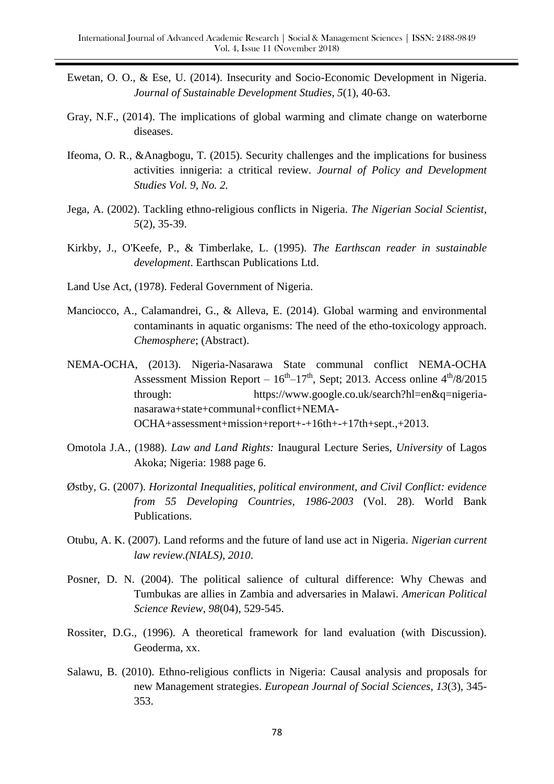- Ewetan, O. O., & Ese, U. (2014). Insecurity and Socio-Economic Development in Nigeria. *Journal of Sustainable Development Studies*, *5*(1), 40-63.
- Gray, N.F., (2014). The implications of global warming and climate change on waterborne diseases.
- Ifeoma, O. R., &Anagbogu, T. (2015). Security challenges and the implications for business activities innigeria: a ctritical review. *Journal of Policy and Development Studies Vol. 9, No. 2.*
- Jega, A. (2002). Tackling ethno-religious conflicts in Nigeria. *The Nigerian Social Scientist*, *5*(2), 35-39.
- Kirkby, J., O'Keefe, P., & Timberlake, L. (1995). *The Earthscan reader in sustainable development*. Earthscan Publications Ltd.
- Land Use Act, (1978). Federal Government of Nigeria.
- Manciocco, A., Calamandrei, G., & Alleva, E. (2014). Global warming and environmental contaminants in aquatic organisms: The need of the etho-toxicology approach. *Chemosphere*; (Abstract).
- NEMA-OCHA, (2013). Nigeria-Nasarawa State communal conflict NEMA-OCHA Assessment Mission Report –  $16<sup>th</sup> - 17<sup>th</sup>$ , Sept; 2013. Access online  $4<sup>th</sup>/8/2015$ through: https://www.google.co.uk/search?hl=en&q=nigerianasarawa+state+communal+conflict+NEMA-OCHA+assessment+mission+report+-+16th+-+17th+sept.,+2013.
- Omotola J.A., (1988). *Law and Land Rights:* Inaugural Lecture Series, *University* of Lagos Akoka; Nigeria: 1988 page 6.
- Østby, G. (2007). *Horizontal Inequalities, political environment, and Civil Conflict: evidence from 55 Developing Countries, 1986-2003* (Vol. 28). World Bank Publications.
- Otubu, A. K. (2007). Land reforms and the future of land use act in Nigeria. *Nigerian current law review.(NIALS)*, *2010*.
- Posner, D. N. (2004). The political salience of cultural difference: Why Chewas and Tumbukas are allies in Zambia and adversaries in Malawi. *American Political Science Review*, *98*(04), 529-545.
- Rossiter, D.G., (1996). A theoretical framework for land evaluation (with Discussion). Geoderma, xx.
- Salawu, B. (2010). Ethno-religious conflicts in Nigeria: Causal analysis and proposals for new Management strategies. *European Journal of Social Sciences*, *13*(3), 345- 353.